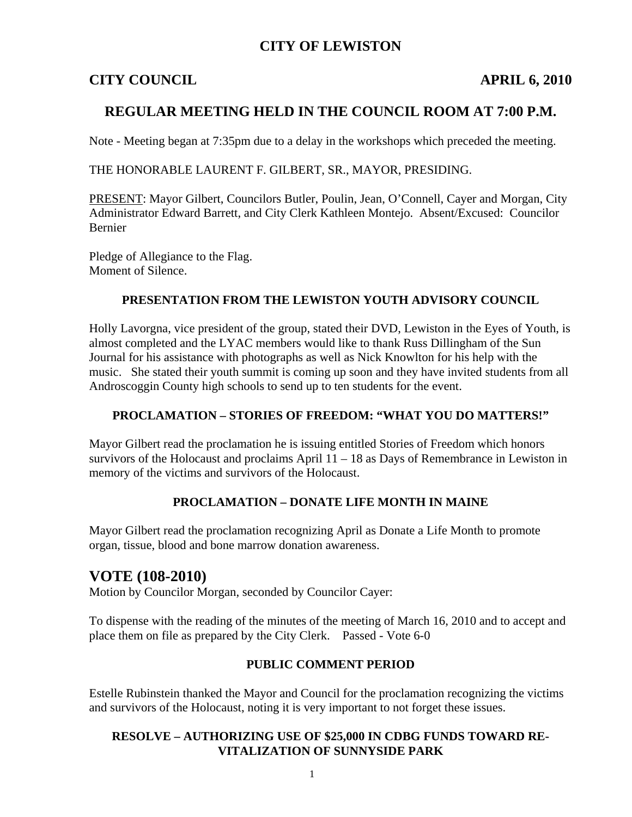#### **CITY OF LEWISTON**

#### **CITY COUNCIL APRIL 6, 2010**

### **REGULAR MEETING HELD IN THE COUNCIL ROOM AT 7:00 P.M.**

Note - Meeting began at 7:35pm due to a delay in the workshops which preceded the meeting.

THE HONORABLE LAURENT F. GILBERT, SR., MAYOR, PRESIDING.

PRESENT: Mayor Gilbert, Councilors Butler, Poulin, Jean, O'Connell, Cayer and Morgan, City Administrator Edward Barrett, and City Clerk Kathleen Montejo. Absent/Excused: Councilor Bernier

Pledge of Allegiance to the Flag. Moment of Silence.

#### **PRESENTATION FROM THE LEWISTON YOUTH ADVISORY COUNCIL**

Holly Lavorgna, vice president of the group, stated their DVD, Lewiston in the Eyes of Youth, is almost completed and the LYAC members would like to thank Russ Dillingham of the Sun Journal for his assistance with photographs as well as Nick Knowlton for his help with the music. She stated their youth summit is coming up soon and they have invited students from all Androscoggin County high schools to send up to ten students for the event.

#### **PROCLAMATION – STORIES OF FREEDOM: "WHAT YOU DO MATTERS!"**

Mayor Gilbert read the proclamation he is issuing entitled Stories of Freedom which honors survivors of the Holocaust and proclaims April 11 – 18 as Days of Remembrance in Lewiston in memory of the victims and survivors of the Holocaust.

#### **PROCLAMATION – DONATE LIFE MONTH IN MAINE**

Mayor Gilbert read the proclamation recognizing April as Donate a Life Month to promote organ, tissue, blood and bone marrow donation awareness.

## **VOTE (108-2010)**

Motion by Councilor Morgan, seconded by Councilor Cayer:

To dispense with the reading of the minutes of the meeting of March 16, 2010 and to accept and place them on file as prepared by the City Clerk. Passed - Vote 6-0

#### **PUBLIC COMMENT PERIOD**

Estelle Rubinstein thanked the Mayor and Council for the proclamation recognizing the victims and survivors of the Holocaust, noting it is very important to not forget these issues.

#### **RESOLVE – AUTHORIZING USE OF \$25,000 IN CDBG FUNDS TOWARD RE-VITALIZATION OF SUNNYSIDE PARK**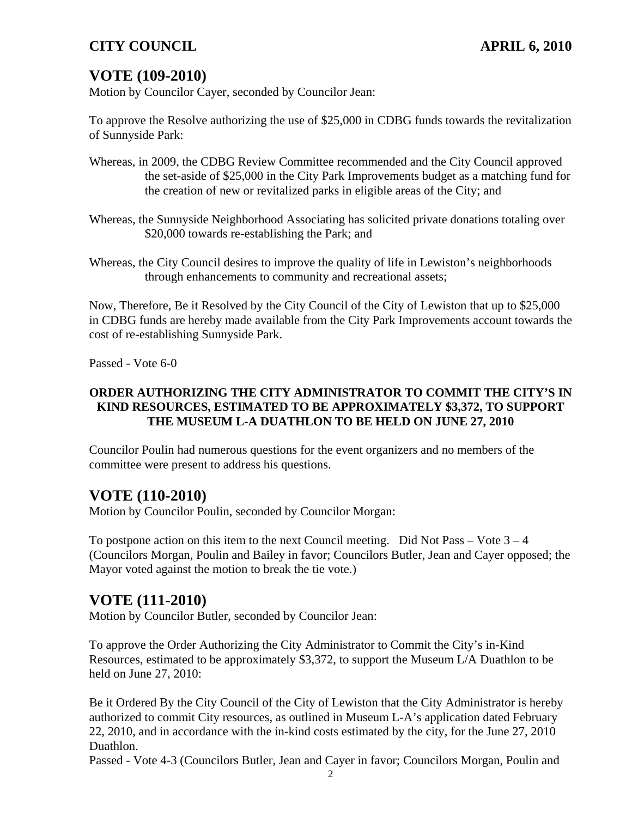# **VOTE (109-2010)**

Motion by Councilor Cayer, seconded by Councilor Jean:

To approve the Resolve authorizing the use of \$25,000 in CDBG funds towards the revitalization of Sunnyside Park:

- Whereas, in 2009, the CDBG Review Committee recommended and the City Council approved the set-aside of \$25,000 in the City Park Improvements budget as a matching fund for the creation of new or revitalized parks in eligible areas of the City; and
- Whereas, the Sunnyside Neighborhood Associating has solicited private donations totaling over \$20,000 towards re-establishing the Park; and
- Whereas, the City Council desires to improve the quality of life in Lewiston's neighborhoods through enhancements to community and recreational assets;

Now, Therefore, Be it Resolved by the City Council of the City of Lewiston that up to \$25,000 in CDBG funds are hereby made available from the City Park Improvements account towards the cost of re-establishing Sunnyside Park.

Passed - Vote 6-0

#### **ORDER AUTHORIZING THE CITY ADMINISTRATOR TO COMMIT THE CITY'S IN KIND RESOURCES, ESTIMATED TO BE APPROXIMATELY \$3,372, TO SUPPORT THE MUSEUM L-A DUATHLON TO BE HELD ON JUNE 27, 2010**

Councilor Poulin had numerous questions for the event organizers and no members of the committee were present to address his questions.

## **VOTE (110-2010)**

Motion by Councilor Poulin, seconded by Councilor Morgan:

To postpone action on this item to the next Council meeting. Did Not Pass – Vote  $3 - 4$ (Councilors Morgan, Poulin and Bailey in favor; Councilors Butler, Jean and Cayer opposed; the Mayor voted against the motion to break the tie vote.)

## **VOTE (111-2010)**

Motion by Councilor Butler, seconded by Councilor Jean:

To approve the Order Authorizing the City Administrator to Commit the City's in-Kind Resources, estimated to be approximately \$3,372, to support the Museum L/A Duathlon to be held on June 27, 2010:

Be it Ordered By the City Council of the City of Lewiston that the City Administrator is hereby authorized to commit City resources, as outlined in Museum L-A's application dated February 22, 2010, and in accordance with the in-kind costs estimated by the city, for the June 27, 2010 Duathlon.

Passed - Vote 4-3 (Councilors Butler, Jean and Cayer in favor; Councilors Morgan, Poulin and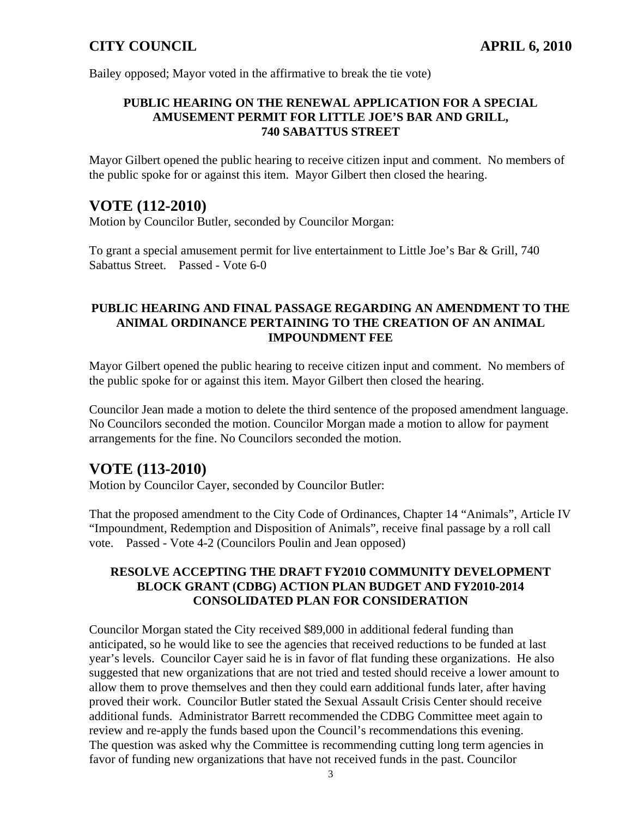Bailey opposed; Mayor voted in the affirmative to break the tie vote)

#### **PUBLIC HEARING ON THE RENEWAL APPLICATION FOR A SPECIAL AMUSEMENT PERMIT FOR LITTLE JOE'S BAR AND GRILL, 740 SABATTUS STREET**

Mayor Gilbert opened the public hearing to receive citizen input and comment. No members of the public spoke for or against this item. Mayor Gilbert then closed the hearing.

## **VOTE (112-2010)**

Motion by Councilor Butler, seconded by Councilor Morgan:

To grant a special amusement permit for live entertainment to Little Joe's Bar & Grill, 740 Sabattus Street. Passed - Vote 6-0

#### **PUBLIC HEARING AND FINAL PASSAGE REGARDING AN AMENDMENT TO THE ANIMAL ORDINANCE PERTAINING TO THE CREATION OF AN ANIMAL IMPOUNDMENT FEE**

Mayor Gilbert opened the public hearing to receive citizen input and comment. No members of the public spoke for or against this item. Mayor Gilbert then closed the hearing.

Councilor Jean made a motion to delete the third sentence of the proposed amendment language. No Councilors seconded the motion. Councilor Morgan made a motion to allow for payment arrangements for the fine. No Councilors seconded the motion.

## **VOTE (113-2010)**

Motion by Councilor Cayer, seconded by Councilor Butler:

That the proposed amendment to the City Code of Ordinances, Chapter 14 "Animals", Article IV "Impoundment, Redemption and Disposition of Animals", receive final passage by a roll call vote. Passed - Vote 4-2 (Councilors Poulin and Jean opposed)

#### **RESOLVE ACCEPTING THE DRAFT FY2010 COMMUNITY DEVELOPMENT BLOCK GRANT (CDBG) ACTION PLAN BUDGET AND FY2010-2014 CONSOLIDATED PLAN FOR CONSIDERATION**

Councilor Morgan stated the City received \$89,000 in additional federal funding than anticipated, so he would like to see the agencies that received reductions to be funded at last year's levels. Councilor Cayer said he is in favor of flat funding these organizations. He also suggested that new organizations that are not tried and tested should receive a lower amount to allow them to prove themselves and then they could earn additional funds later, after having proved their work. Councilor Butler stated the Sexual Assault Crisis Center should receive additional funds. Administrator Barrett recommended the CDBG Committee meet again to review and re-apply the funds based upon the Council's recommendations this evening. The question was asked why the Committee is recommending cutting long term agencies in favor of funding new organizations that have not received funds in the past. Councilor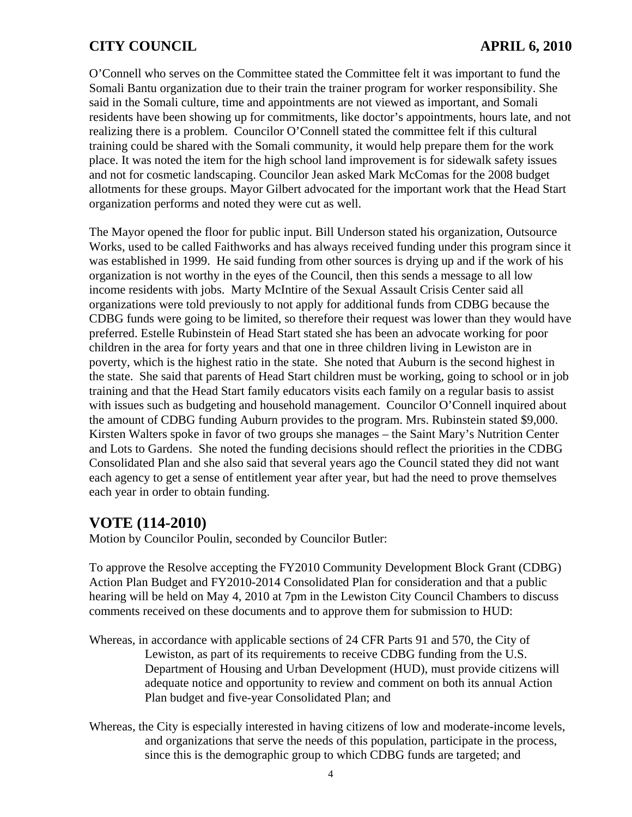O'Connell who serves on the Committee stated the Committee felt it was important to fund the Somali Bantu organization due to their train the trainer program for worker responsibility. She said in the Somali culture, time and appointments are not viewed as important, and Somali residents have been showing up for commitments, like doctor's appointments, hours late, and not realizing there is a problem. Councilor O'Connell stated the committee felt if this cultural training could be shared with the Somali community, it would help prepare them for the work place. It was noted the item for the high school land improvement is for sidewalk safety issues and not for cosmetic landscaping. Councilor Jean asked Mark McComas for the 2008 budget allotments for these groups. Mayor Gilbert advocated for the important work that the Head Start organization performs and noted they were cut as well.

The Mayor opened the floor for public input. Bill Underson stated his organization, Outsource Works, used to be called Faithworks and has always received funding under this program since it was established in 1999. He said funding from other sources is drying up and if the work of his organization is not worthy in the eyes of the Council, then this sends a message to all low income residents with jobs. Marty McIntire of the Sexual Assault Crisis Center said all organizations were told previously to not apply for additional funds from CDBG because the CDBG funds were going to be limited, so therefore their request was lower than they would have preferred. Estelle Rubinstein of Head Start stated she has been an advocate working for poor children in the area for forty years and that one in three children living in Lewiston are in poverty, which is the highest ratio in the state. She noted that Auburn is the second highest in the state. She said that parents of Head Start children must be working, going to school or in job training and that the Head Start family educators visits each family on a regular basis to assist with issues such as budgeting and household management. Councilor O'Connell inquired about the amount of CDBG funding Auburn provides to the program. Mrs. Rubinstein stated \$9,000. Kirsten Walters spoke in favor of two groups she manages – the Saint Mary's Nutrition Center and Lots to Gardens. She noted the funding decisions should reflect the priorities in the CDBG Consolidated Plan and she also said that several years ago the Council stated they did not want each agency to get a sense of entitlement year after year, but had the need to prove themselves each year in order to obtain funding.

## **VOTE (114-2010)**

Motion by Councilor Poulin, seconded by Councilor Butler:

To approve the Resolve accepting the FY2010 Community Development Block Grant (CDBG) Action Plan Budget and FY2010-2014 Consolidated Plan for consideration and that a public hearing will be held on May 4, 2010 at 7pm in the Lewiston City Council Chambers to discuss comments received on these documents and to approve them for submission to HUD:

Whereas, in accordance with applicable sections of 24 CFR Parts 91 and 570, the City of Lewiston, as part of its requirements to receive CDBG funding from the U.S. Department of Housing and Urban Development (HUD), must provide citizens will adequate notice and opportunity to review and comment on both its annual Action Plan budget and five-year Consolidated Plan; and

Whereas, the City is especially interested in having citizens of low and moderate-income levels, and organizations that serve the needs of this population, participate in the process, since this is the demographic group to which CDBG funds are targeted; and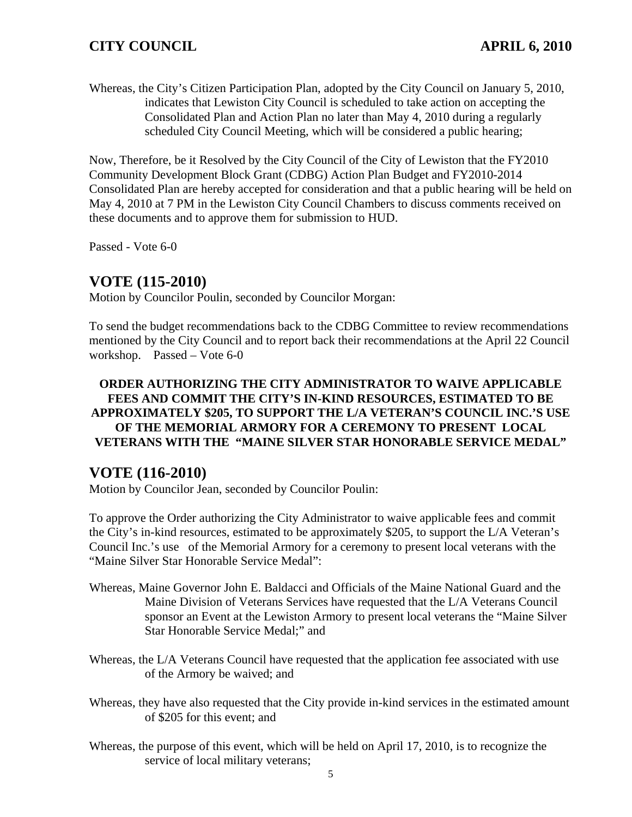Whereas, the City's Citizen Participation Plan, adopted by the City Council on January 5, 2010, indicates that Lewiston City Council is scheduled to take action on accepting the Consolidated Plan and Action Plan no later than May 4, 2010 during a regularly scheduled City Council Meeting, which will be considered a public hearing;

Now, Therefore, be it Resolved by the City Council of the City of Lewiston that the FY2010 Community Development Block Grant (CDBG) Action Plan Budget and FY2010-2014 Consolidated Plan are hereby accepted for consideration and that a public hearing will be held on May 4, 2010 at 7 PM in the Lewiston City Council Chambers to discuss comments received on these documents and to approve them for submission to HUD.

Passed - Vote 6-0

## **VOTE (115-2010)**

Motion by Councilor Poulin, seconded by Councilor Morgan:

To send the budget recommendations back to the CDBG Committee to review recommendations mentioned by the City Council and to report back their recommendations at the April 22 Council workshop. Passed – Vote 6-0

#### **ORDER AUTHORIZING THE CITY ADMINISTRATOR TO WAIVE APPLICABLE FEES AND COMMIT THE CITY'S IN-KIND RESOURCES, ESTIMATED TO BE APPROXIMATELY \$205, TO SUPPORT THE L/A VETERAN'S COUNCIL INC.'S USE OF THE MEMORIAL ARMORY FOR A CEREMONY TO PRESENT LOCAL VETERANS WITH THE "MAINE SILVER STAR HONORABLE SERVICE MEDAL"**

## **VOTE (116-2010)**

Motion by Councilor Jean, seconded by Councilor Poulin:

To approve the Order authorizing the City Administrator to waive applicable fees and commit the City's in-kind resources, estimated to be approximately \$205, to support the L/A Veteran's Council Inc.'s use of the Memorial Armory for a ceremony to present local veterans with the "Maine Silver Star Honorable Service Medal":

- Whereas, Maine Governor John E. Baldacci and Officials of the Maine National Guard and the Maine Division of Veterans Services have requested that the L/A Veterans Council sponsor an Event at the Lewiston Armory to present local veterans the "Maine Silver Star Honorable Service Medal;" and
- Whereas, the L/A Veterans Council have requested that the application fee associated with use of the Armory be waived; and
- Whereas, they have also requested that the City provide in-kind services in the estimated amount of \$205 for this event; and
- Whereas, the purpose of this event, which will be held on April 17, 2010, is to recognize the service of local military veterans;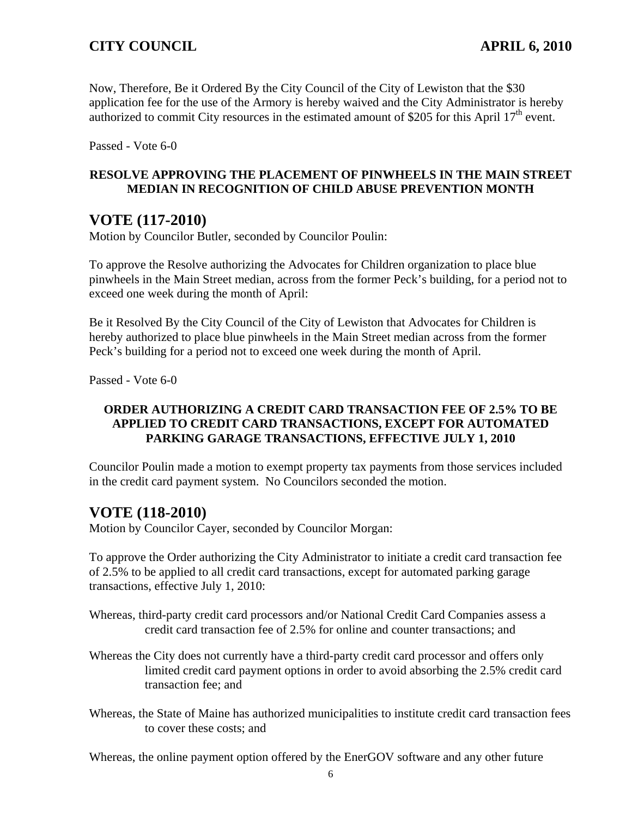Now, Therefore, Be it Ordered By the City Council of the City of Lewiston that the \$30 application fee for the use of the Armory is hereby waived and the City Administrator is hereby authorized to commit City resources in the estimated amount of \$205 for this April  $17<sup>th</sup>$  event.

Passed - Vote 6-0

#### **RESOLVE APPROVING THE PLACEMENT OF PINWHEELS IN THE MAIN STREET MEDIAN IN RECOGNITION OF CHILD ABUSE PREVENTION MONTH**

## **VOTE (117-2010)**

Motion by Councilor Butler, seconded by Councilor Poulin:

To approve the Resolve authorizing the Advocates for Children organization to place blue pinwheels in the Main Street median, across from the former Peck's building, for a period not to exceed one week during the month of April:

Be it Resolved By the City Council of the City of Lewiston that Advocates for Children is hereby authorized to place blue pinwheels in the Main Street median across from the former Peck's building for a period not to exceed one week during the month of April.

Passed - Vote 6-0

#### **ORDER AUTHORIZING A CREDIT CARD TRANSACTION FEE OF 2.5% TO BE APPLIED TO CREDIT CARD TRANSACTIONS, EXCEPT FOR AUTOMATED PARKING GARAGE TRANSACTIONS, EFFECTIVE JULY 1, 2010**

Councilor Poulin made a motion to exempt property tax payments from those services included in the credit card payment system. No Councilors seconded the motion.

# **VOTE (118-2010)**

Motion by Councilor Cayer, seconded by Councilor Morgan:

To approve the Order authorizing the City Administrator to initiate a credit card transaction fee of 2.5% to be applied to all credit card transactions, except for automated parking garage transactions, effective July 1, 2010:

- Whereas, third-party credit card processors and/or National Credit Card Companies assess a credit card transaction fee of 2.5% for online and counter transactions; and
- Whereas the City does not currently have a third-party credit card processor and offers only limited credit card payment options in order to avoid absorbing the 2.5% credit card transaction fee; and
- Whereas, the State of Maine has authorized municipalities to institute credit card transaction fees to cover these costs; and

Whereas, the online payment option offered by the EnerGOV software and any other future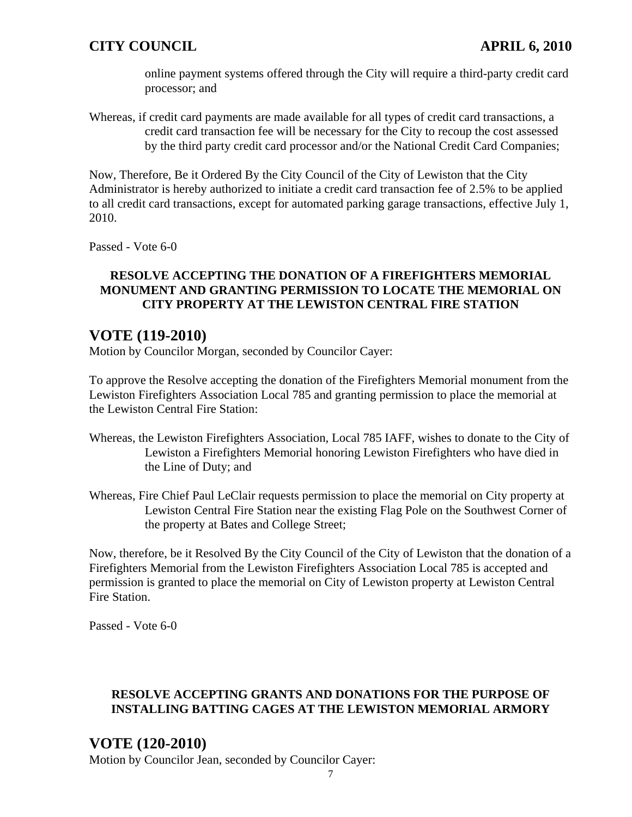online payment systems offered through the City will require a third-party credit card processor; and

Whereas, if credit card payments are made available for all types of credit card transactions, a credit card transaction fee will be necessary for the City to recoup the cost assessed by the third party credit card processor and/or the National Credit Card Companies;

Now, Therefore, Be it Ordered By the City Council of the City of Lewiston that the City Administrator is hereby authorized to initiate a credit card transaction fee of 2.5% to be applied to all credit card transactions, except for automated parking garage transactions, effective July 1, 2010.

Passed - Vote 6-0

#### **RESOLVE ACCEPTING THE DONATION OF A FIREFIGHTERS MEMORIAL MONUMENT AND GRANTING PERMISSION TO LOCATE THE MEMORIAL ON CITY PROPERTY AT THE LEWISTON CENTRAL FIRE STATION**

## **VOTE (119-2010)**

Motion by Councilor Morgan, seconded by Councilor Cayer:

To approve the Resolve accepting the donation of the Firefighters Memorial monument from the Lewiston Firefighters Association Local 785 and granting permission to place the memorial at the Lewiston Central Fire Station:

- Whereas, the Lewiston Firefighters Association, Local 785 IAFF, wishes to donate to the City of Lewiston a Firefighters Memorial honoring Lewiston Firefighters who have died in the Line of Duty; and
- Whereas, Fire Chief Paul LeClair requests permission to place the memorial on City property at Lewiston Central Fire Station near the existing Flag Pole on the Southwest Corner of the property at Bates and College Street;

Now, therefore, be it Resolved By the City Council of the City of Lewiston that the donation of a Firefighters Memorial from the Lewiston Firefighters Association Local 785 is accepted and permission is granted to place the memorial on City of Lewiston property at Lewiston Central Fire Station.

Passed - Vote 6-0

#### **RESOLVE ACCEPTING GRANTS AND DONATIONS FOR THE PURPOSE OF INSTALLING BATTING CAGES AT THE LEWISTON MEMORIAL ARMORY**

# **VOTE (120-2010)**

Motion by Councilor Jean, seconded by Councilor Cayer: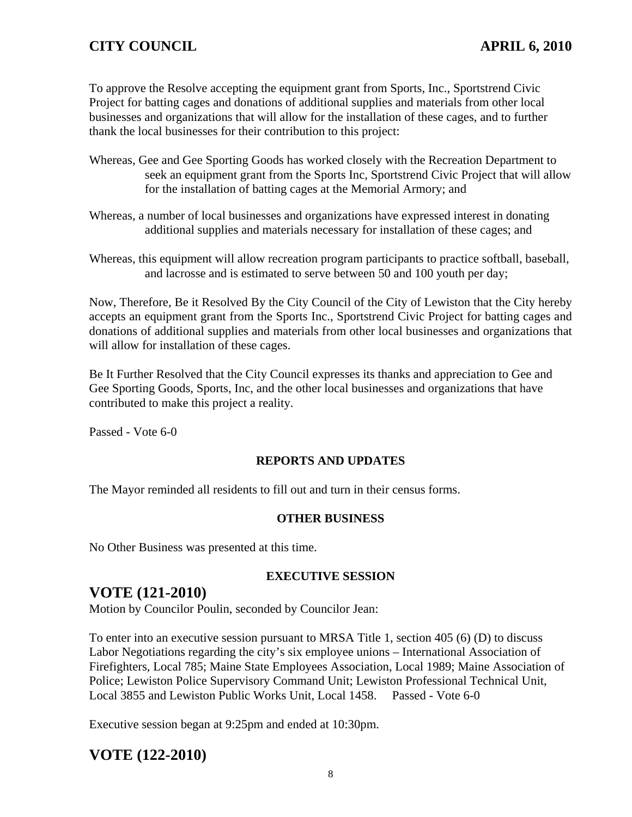To approve the Resolve accepting the equipment grant from Sports, Inc., Sportstrend Civic Project for batting cages and donations of additional supplies and materials from other local businesses and organizations that will allow for the installation of these cages, and to further thank the local businesses for their contribution to this project:

- Whereas, Gee and Gee Sporting Goods has worked closely with the Recreation Department to seek an equipment grant from the Sports Inc, Sportstrend Civic Project that will allow for the installation of batting cages at the Memorial Armory; and
- Whereas, a number of local businesses and organizations have expressed interest in donating additional supplies and materials necessary for installation of these cages; and
- Whereas, this equipment will allow recreation program participants to practice softball, baseball, and lacrosse and is estimated to serve between 50 and 100 youth per day;

Now, Therefore, Be it Resolved By the City Council of the City of Lewiston that the City hereby accepts an equipment grant from the Sports Inc., Sportstrend Civic Project for batting cages and donations of additional supplies and materials from other local businesses and organizations that will allow for installation of these cages.

Be It Further Resolved that the City Council expresses its thanks and appreciation to Gee and Gee Sporting Goods, Sports, Inc, and the other local businesses and organizations that have contributed to make this project a reality.

Passed - Vote 6-0

#### **REPORTS AND UPDATES**

The Mayor reminded all residents to fill out and turn in their census forms.

#### **OTHER BUSINESS**

No Other Business was presented at this time.

#### **EXECUTIVE SESSION**

#### **VOTE (121-2010)**

Motion by Councilor Poulin, seconded by Councilor Jean:

To enter into an executive session pursuant to MRSA Title 1, section 405 (6) (D) to discuss Labor Negotiations regarding the city's six employee unions – International Association of Firefighters, Local 785; Maine State Employees Association, Local 1989; Maine Association of Police; Lewiston Police Supervisory Command Unit; Lewiston Professional Technical Unit, Local 3855 and Lewiston Public Works Unit, Local 1458. Passed - Vote 6-0

Executive session began at 9:25pm and ended at 10:30pm.

## **VOTE (122-2010)**